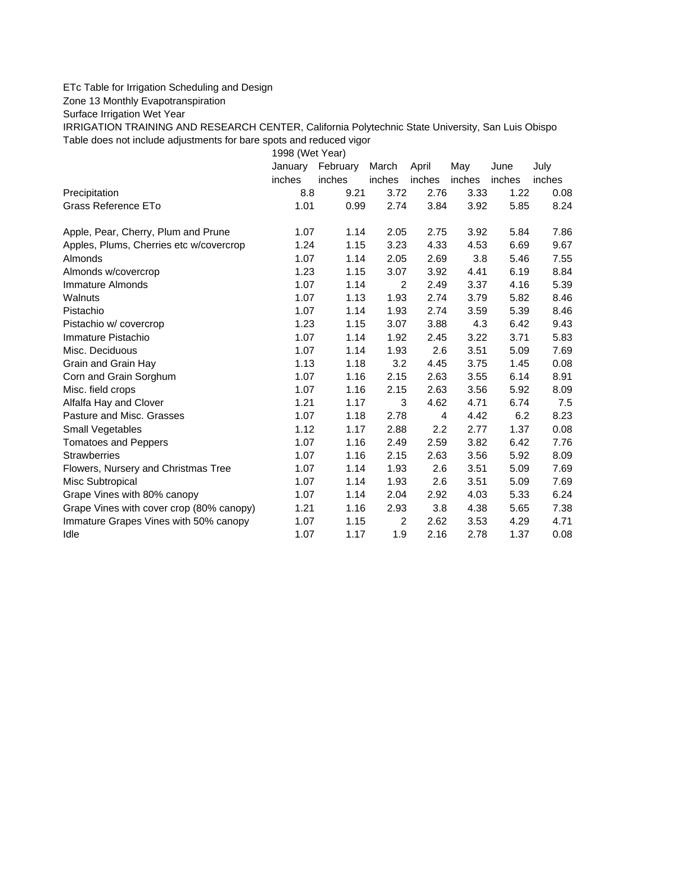## ETc Table for Irrigation Scheduling and Design

Zone 13 Monthly Evapotranspiration

Surface Irrigation Wet Year

IRRIGATION TRAINING AND RESEARCH CENTER, California Polytechnic State University, San Luis Obispo Table does not include adjustments for bare spots and reduced vigor

1998 (Wet Year)

|                                          | January | February | March  | April          | May    | June   | July   |
|------------------------------------------|---------|----------|--------|----------------|--------|--------|--------|
|                                          | inches  | inches   | inches | inches         | inches | inches | inches |
| Precipitation                            | 8.8     | 9.21     | 3.72   | 2.76           | 3.33   | 1.22   | 0.08   |
| Grass Reference ETo                      | 1.01    | 0.99     | 2.74   | 3.84           | 3.92   | 5.85   | 8.24   |
| Apple, Pear, Cherry, Plum and Prune      | 1.07    | 1.14     | 2.05   | 2.75           | 3.92   | 5.84   | 7.86   |
| Apples, Plums, Cherries etc w/covercrop  | 1.24    | 1.15     | 3.23   | 4.33           | 4.53   | 6.69   | 9.67   |
| Almonds                                  | 1.07    | 1.14     | 2.05   | 2.69           | 3.8    | 5.46   | 7.55   |
| Almonds w/covercrop                      | 1.23    | 1.15     | 3.07   | 3.92           | 4.41   | 6.19   | 8.84   |
| Immature Almonds                         | 1.07    | 1.14     | 2      | 2.49           | 3.37   | 4.16   | 5.39   |
| Walnuts                                  | 1.07    | 1.13     | 1.93   | 2.74           | 3.79   | 5.82   | 8.46   |
| Pistachio                                | 1.07    | 1.14     | 1.93   | 2.74           | 3.59   | 5.39   | 8.46   |
| Pistachio w/ covercrop                   | 1.23    | 1.15     | 3.07   | 3.88           | 4.3    | 6.42   | 9.43   |
| Immature Pistachio                       | 1.07    | 1.14     | 1.92   | 2.45           | 3.22   | 3.71   | 5.83   |
| Misc. Deciduous                          | 1.07    | 1.14     | 1.93   | 2.6            | 3.51   | 5.09   | 7.69   |
| Grain and Grain Hay                      | 1.13    | 1.18     | 3.2    | 4.45           | 3.75   | 1.45   | 0.08   |
| Corn and Grain Sorghum                   | 1.07    | 1.16     | 2.15   | 2.63           | 3.55   | 6.14   | 8.91   |
| Misc. field crops                        | 1.07    | 1.16     | 2.15   | 2.63           | 3.56   | 5.92   | 8.09   |
| Alfalfa Hay and Clover                   | 1.21    | 1.17     | 3      | 4.62           | 4.71   | 6.74   | 7.5    |
| Pasture and Misc. Grasses                | 1.07    | 1.18     | 2.78   | $\overline{4}$ | 4.42   | 6.2    | 8.23   |
| Small Vegetables                         | 1.12    | 1.17     | 2.88   | 2.2            | 2.77   | 1.37   | 0.08   |
| <b>Tomatoes and Peppers</b>              | 1.07    | 1.16     | 2.49   | 2.59           | 3.82   | 6.42   | 7.76   |
| <b>Strawberries</b>                      | 1.07    | 1.16     | 2.15   | 2.63           | 3.56   | 5.92   | 8.09   |
| Flowers, Nursery and Christmas Tree      | 1.07    | 1.14     | 1.93   | 2.6            | 3.51   | 5.09   | 7.69   |
| Misc Subtropical                         | 1.07    | 1.14     | 1.93   | 2.6            | 3.51   | 5.09   | 7.69   |
| Grape Vines with 80% canopy              | 1.07    | 1.14     | 2.04   | 2.92           | 4.03   | 5.33   | 6.24   |
| Grape Vines with cover crop (80% canopy) | 1.21    | 1.16     | 2.93   | 3.8            | 4.38   | 5.65   | 7.38   |
| Immature Grapes Vines with 50% canopy    | 1.07    | 1.15     | 2      | 2.62           | 3.53   | 4.29   | 4.71   |
| Idle                                     | 1.07    | 1.17     | 1.9    | 2.16           | 2.78   | 1.37   | 0.08   |